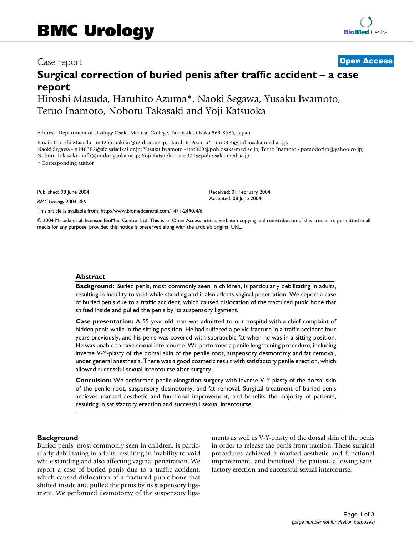## Case report **[Open Access](http://www.biomedcentral.com/info/about/charter/)**

# **Surgical correction of buried penis after traffic accident – a case report**

Hiroshi Masuda, Haruhito Azuma\*, Naoki Segawa, Yusaku Iwamoto, Teruo Inamoto, Noboru Takasaki and Yoji Katsuoka

Address: Department of Urology Osaka Medical College, Takatsuki, Osaka 569-8686, Japan

Email: Hiroshi Masuda - m3255makiko@r2.dion.ne.jp; Haruhito Azuma\* - uro004@poh.osaka-med.ac.jp; Naoki Segawa - n146382@siz.saiseikai.or.jp; Yusaku Iwamoto - uro009@poh.osaka-med.ac.jp; Teruo Inamoto - pomodorijp@yahoo.co.jp; Noboru Takasaki - info@midorigaoka.or.jp; Yoji Katsuoka - uro001@poh.osaka-med.ac.jp

\* Corresponding author

Published: 08 June 2004

*BMC Urology* 2004, **4**:6

[This article is available from: http://www.biomedcentral.com/1471-2490/4/6](http://www.biomedcentral.com/1471-2490/4/6)

© 2004 Masuda et al; licensee BioMed Central Ltd. This is an Open Access article: verbatim copying and redistribution of this article are permitted in all media for any purpose, provided this notice is preserved along with the article's original URL.

Received: 01 February 2004 Accepted: 08 June 2004

#### **Abstract**

**Background:** Buried penis, most commonly seen in children, is particularly debilitating in adults, resulting in inability to void while standing and it also affects vaginal penetration. We report a case of buried penis due to a traffic accident, which caused dislocation of the fractured pubic bone that shifted inside and pulled the penis by its suspensory ligament.

**Case presentation:** A 55-year-old man was admitted to our hospital with a chief complaint of hidden penis while in the sitting position. He had suffered a pelvic fracture in a traffic accident four years previously, and his penis was covered with suprapubic fat when he was in a sitting position. He was unable to have sexual intercourse. We performed a penile lengthening procedure, including inverse V-Y-plasty of the dorsal skin of the penile root, suspensory desmotomy and fat removal, under general anesthesia. There was a good cosmetic result with satisfactory penile erection, which allowed successful sexual intercourse after surgery.

**Conculsion:** We performed penile elongation surgery with inverse V-Y-plasty of the dorsal skin of the penile root, suspensory desmotomy, and fat removal. Surgical treatment of buried penis achieves marked aesthetic and functional improvement, and benefits the majority of patients, resulting in satisfactory erection and successful sexual intercourse.

#### **Background**

Buried penis, most commonly seen in children, is particularly debilitating in adults, resulting in inability to void while standing and also affecting vaginal penetration. We report a case of buried penis due to a traffic accident, which caused dislocation of a fractured pubic bone that shifted inside and pulled the penis by its suspensory ligament. We performed desmotomy of the suspensory ligaments as well as V-Y-plasty of the dorsal skin of the penis in order to release the penis from traction. These surgical procedures achieved a marked aesthetic and functional improvement, and benefited the patient, allowing satisfactory erection and successful sexual intercourse.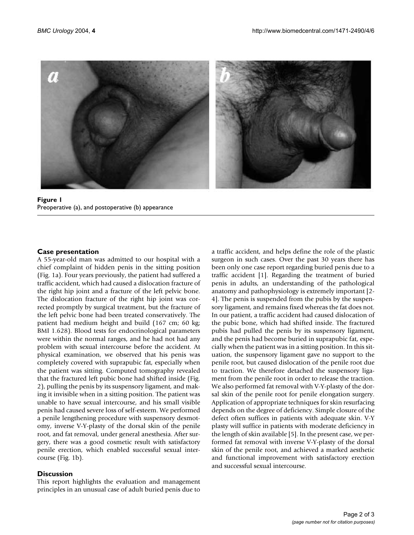

**Figure 1** Preoperative (a), and postoperative (b) appearance

#### **Case presentation**

A 55-year-old man was admitted to our hospital with a chief complaint of hidden penis in the sitting position (Fig. 1a). Four years previously, the patient had suffered a traffic accident, which had caused a dislocation fracture of the right hip joint and a fracture of the left pelvic bone. The dislocation fracture of the right hip joint was corrected promptly by surgical treatment, but the fracture of the left pelvic bone had been treated conservatively. The patient had medium height and build (167 cm; 60 kg; BMI 1.628). Blood tests for endocrinological parameters were within the normal ranges, and he had not had any problem with sexual intercourse before the accident. At physical examination, we observed that his penis was completely covered with suprapubic fat, especially when the patient was sitting. Computed tomography revealed that the fractured left pubic bone had shifted inside (Fig. [2\)](#page-2-0), pulling the penis by its suspensory ligament, and making it invisible when in a sitting position. The patient was unable to have sexual intercourse, and his small visible penis had caused severe loss of self-esteem. We performed a penile lengthening procedure with suspensory desmotomy, inverse V-Y-plasty of the dorsal skin of the penile root, and fat removal, under general anesthesia. After surgery, there was a good cosmetic result with satisfactory penile erection, which enabled successful sexual intercourse (Fig. 1b).

#### **Discussion**

This report highlights the evaluation and management principles in an unusual case of adult buried penis due to

a traffic accident, and helps define the role of the plastic surgeon in such cases. Over the past 30 years there has been only one case report regarding buried penis due to a traffic accident [1]. Regarding the treatment of buried penis in adults, an understanding of the pathological anatomy and pathophysiology is extremely important [2- 4]. The penis is suspended from the pubis by the suspensory ligament, and remains fixed whereas the fat does not. In our patient, a traffic accident had caused dislocation of the pubic bone, which had shifted inside. The fractured pubis had pulled the penis by its suspensory ligament, and the penis had become buried in suprapubic fat, especially when the patient was in a sitting position. In this situation, the suspensory ligament gave no support to the penile root, but caused dislocation of the penile root due to traction. We therefore detached the suspensory ligament from the penile root in order to release the traction. We also performed fat removal with V-Y-plasty of the dorsal skin of the penile root for penile elongation surgery. Application of appropriate techniques for skin resurfacing depends on the degree of deficiency. Simple closure of the defect often suffices in patients with adequate skin. V-Y plasty will suffice in patients with moderate deficiency in the length of skin available [5]. In the present case, we performed fat removal with inverse V-Y-plasty of the dorsal skin of the penile root, and achieved a marked aesthetic and functional improvement with satisfactory erection and successful sexual intercourse.